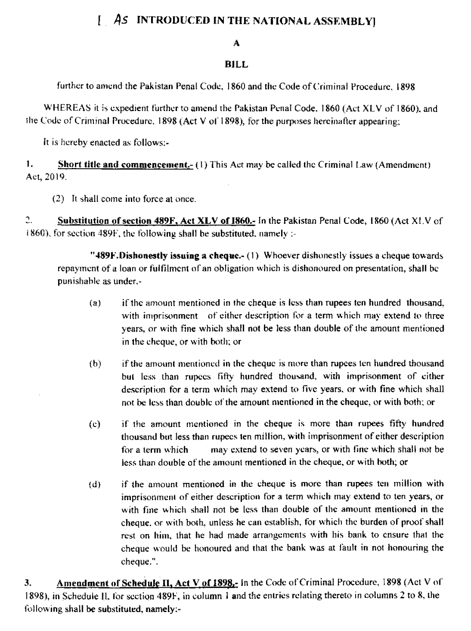## [ As INTRODUCED IN THE NATIONAL ASSEMBLY]

## А

## **BILL**

further to amend the Pakistan Penal Code, 1860 and the Code of Criminal Procedure, 1898

WHEREAS it is expedient further to amend the Pakistan Penal Code, 1860 (Act XLV of 1860), and the Code of Criminal Procedure, 1898 (Act V of 1898), for the purposes hereinafter appearing;

It is hereby enacted as follows:-

1. **Short title and commencement-** (1) This Act may be called the Criminal Law (Amendment) Act, 2019.

(2) It shall come into force at once.

2. Substitution of section 489F, Act XLV of 1860.- In the Pakistan Penal Code, 1860 (Act X! V of  $(1860)$ , for section 489F, the following shall be substituted, namely :-

"489F. Dishonestly issuing a cheque.- $(1)$  Whoever dishonestly issues a cheque towards repayment of a loan or fulfilment of an obligation which is dishonoured on presentation, shall be punishable as under,-

- if the amount mentioned in the cheque is less than rupees ten hundred thousand.  $(a)$ with imprisonment of either description for a term which may extend to three years, or with fine which shall not be less than double of the amount mentioned in the cheque, or with both; or
- if the amount mentioned in the cheque is more than rupees ten hundred thousand  $(b)$ but less than rupees fifty hundred thousand, with imprisonment of cither description for a term which may extend to five years, or with fine which shall not be less than double of the amount mentioned in the cheque, or with both; or
- if the amount mentioned in the cheque is more than rupees fifty hundred  $(c)$ thousand but less than rupees ten million, with imprisonment of either description may extend to seven years, or with fine which shall not be for a term which less than double of the amount mentioned in the cheque, or with both; or
- if the amount mentioned in the cheque is more than rupees ten million with  $(d)$ imprisonment of either description for a term which may extend to ten years, or with fine which shall not be less than double of the amount mentioned in the cheque, or with both, unless he can establish, for which the burden of proof shall rest on him, that he had made arrangements with his bank to ensure that the cheque would be honoured and that the bank was at fault in not honouring the cheque.".

Amendment of Schedule II, Act V of 1898,- in the Code of Criminal Procedure, 1898 (Act V of 3. 1898), in Schedule II, for section 489F, in column 1 and the entries relating thereto in columns 2 to 8, the following shall be substituted, namely:-